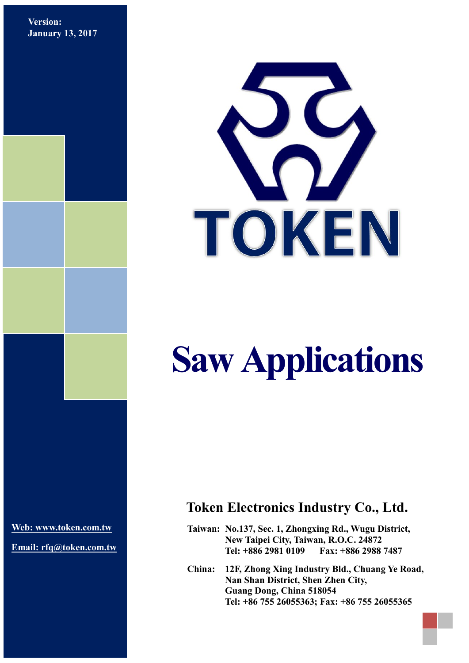**Version: January 13, 2017**



# **Saw Applications**

**[Web: www.token.com.tw](http://www.token.com.tw/)**

**Email: rfq@token.com.tw**

## **Token Electronics Industry Co., Ltd.**

**Taiwan: No.137, Sec. 1, Zhongxing Rd., Wugu District, New Taipei City, Taiwan, R.O.C. 24872 Tel: +886 2981 0109 Fax: +886 2988 7487**

**China: 12F, Zhong Xing Industry Bld., Chuang Ye Road, Nan Shan District, Shen Zhen City, Guang Dong, China 518054 Tel: +86 755 26055363; Fax: +86 755 26055365**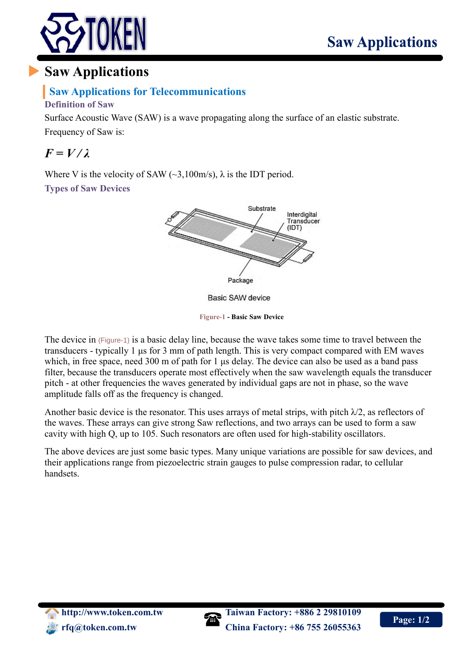

# **Saw Applications**

### **Saw Applications for Telecommunications**

#### **Definition of Saw**

Surface Acoustic Wave (SAW) is a wave propagating along the surface of an elastic substrate.

Frequency of Saw is:

# $F = V/\lambda$

Where V is the velocity of SAW  $(\sim 3,100 \text{m/s})$ ,  $\lambda$  is the IDT period. **Types of Saw Devices**



**Basic SAW device** 

**Figure-1 - Basic Saw Device**

The device in (Figure-1) is a basic delay line, because the wave takes some time to travel between the transducers - typically 1 μs for 3 mm of path length. This is very compact compared with EM waves which, in free space, need 300 m of path for 1 μs delay. The device can also be used as a band pass filter, because the transducers operate most effectively when the saw wavelength equals the transducer pitch - at other frequencies the waves generated by individual gaps are not in phase, so the wave amplitude falls off as the frequency is changed.

Another basic device is the resonator. This uses arrays of metal strips, with pitch  $\lambda/2$ , as reflectors of the waves. These arrays can give strong Saw reflections, and two arrays can be used to form a saw cavity with high Q, up to 105. Such resonators are often used for high-stability oscillators.

The above devices are just some basic types. Many unique variations are possible for saw devices, and their applications range from piezoelectric strain gauges to pulse compression radar, to cellular handsets.